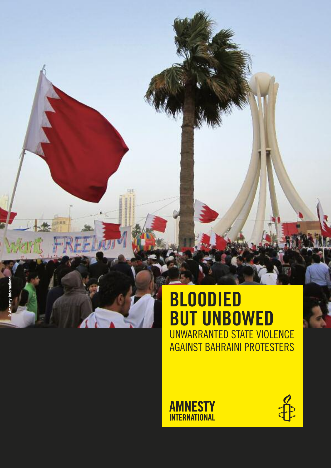



**©**

**Amnesty International**

v Internat

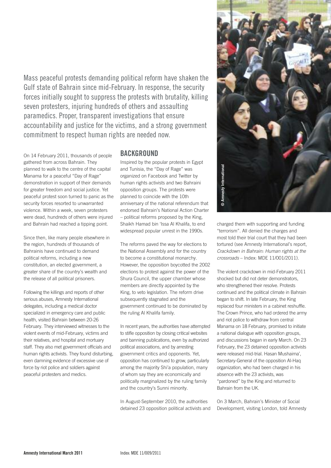Mass peaceful protests demanding political reform have shaken the gulf state of Bahrain since mid-February. in response, the security forces initially sought to suppress the protests with brutality, killing seven protesters, injuring hundreds of others and assaulting paramedics. proper, transparent investigations that ensure accountability and justice for the victims, and a strong government commitment to respect human rights are needed now.

On 14 February 2011, thousands of people gathered from across Bahrain. They planned to walk to the centre of the capital Manama for a peaceful "Day of Rage" demonstration in support of their demands for greater freedom and social justice. Yet peaceful protest soon turned to panic as the security forces resorted to unwarranted violence. Within a week, seven protesters were dead, hundreds of others were injured and Bahrain had reached a tipping point.

Since then, like many people elsewhere in the region, hundreds of thousands of Bahrainis have continued to demand political reforms, including a new constitution, an elected government, a greater share of the country's wealth and the release of all political prisoners.

Following the killings and reports of other serious abuses, Amnesty International delegates, including a medical doctor specialized in emergency care and public health, visited Bahrain between 20-26 February. They interviewed witnesses to the violent events of mid-February, victims and their relatives, and hospital and mortuary staff. They also met government officials and human rights activists. They found disturbing, even damning evidence of excessive use of force by riot police and soldiers against peaceful protesters and medics.

#### **bAckground**

Inspired by the popular protests in Egypt and Tunisia, the "Day of Rage" was organized on Facebook and Twitter by human rights activists and two Bahraini opposition groups. The protests were planned to coincide with the 10th anniversary of the national referendum that endorsed Bahrain's National Action Charter – political reforms proposed by the King, Shaikh Hamad bin 'Issa Al Khalifa, to end widespread popular unrest in the 1990s.

The reforms paved the way for elections to the National Assembly and for the country to become a constitutional monarchy. However, the opposition boycotted the 2002 elections to protest against the power of the Shura Council, the upper chamber whose members are directly appointed by the King, to veto legislation. The reform drive subsequently stagnated and the government continued to be dominated by the ruling Al Khalifa family.

In recent years, the authorities have attempted to stifle opposition by closing critical websites and banning publications, even by authorized political associations, and by arresting government critics and opponents. Yet, opposition has continued to grow, particularly among the majority Shi'a population, many of whom say they are economically and politically marginalized by the ruling family and the country's Sunni minority.

In August-September 2010, the authorities detained 23 opposition political activists and



charged them with supporting and funding "terrorism". All denied the charges and most told their trial court that they had been tortured (see Amnesty International's report, Crackdown in Bahrain: Human rights at the crossroads – Index: MDE 11/001/2011).

The violent crackdown in mid-February 2011 shocked but did not deter demonstrators, who strengthened their resolve. Protests continued and the political climate in Bahrain began to shift. In late February, the King replaced four ministers in a cabinet reshuffle. The Crown Prince, who had ordered the army and riot police to withdraw from central Manama on 18 February, promised to initiate a national dialogue with opposition groups, and discussions began in early March. On 23 February, the 23 detained opposition activists were released mid-trial. Hasan Mushaima', Secretary-General of the opposition Al-Haq organization, who had been charged in his absence with the 23 activists, was "pardoned" by the King and returned to Bahrain from the UK.

On 3 March, Bahrain's Minister of Social Development, visiting London, told Amnesty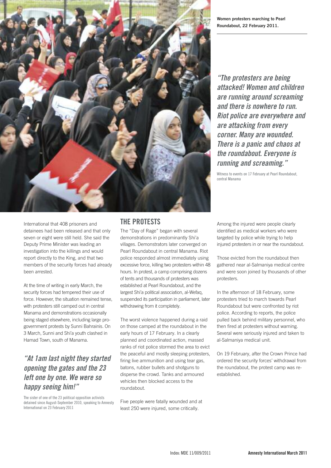

**Women protesters marching to Pearl Roundabout, 22 February 2011.**

**"The protesters are being attacked! Women and children are running around screaming and there is nowhere to run. Riot police are everywhere and are attacking from every corner. Many are wounded. There is a panic and chaos at the roundabout. Everyone is running and screaming."**

Witness to events on 17 February at Pearl Roundabout, central Manama

International that 408 prisoners and detainees had been released and that only seven or eight were still held. She said the Deputy Prime Minister was leading an investigation into the killings and would report directly to the King, and that two members of the security forces had already been arrested.

At the time of writing in early March, the security forces had tempered their use of force. However, the situation remained tense, with protesters still camped out in central Manama and demonstrations occasionally being staged elsewhere, including large progovernment protests by Sunni Bahrainis. On 3 March, Sunni and Shi'a youth clashed in Hamad Town, south of Manama.

# **"At 1am last night they started opening the gates and the 23 left one by one. We were so happy seeing him!"**

the sister of one of the 23 political opposition activists detained since August-September 2010, speaking to Amnesty international on 23 February 2011

# **the protests**

The "Day of Rage" began with several demonstrations in predominantly Shi'a villages. Demonstrators later converged on Pearl Roundabout in central Manama. Riot police responded almost immediately using excessive force, killing two protesters within 48 hours. In protest, a camp comprising dozens of tents and thousands of protesters was established at Pearl Roundabout, and the largest Shi'a political association, al-Wefaq, suspended its participation in parliament, later withdrawing from it completely.

The worst violence happened during a raid on those camped at the roundabout in the early hours of 17 February. In a clearly planned and coordinated action, massed ranks of riot police stormed the area to evict the peaceful and mostly sleeping protesters, firing live ammunition and using tear gas, batons, rubber bullets and shotguns to disperse the crowd. Tanks and armoured vehicles then blocked access to the roundabout.

Five people were fatally wounded and at least 250 were injured, some critically.

Among the injured were people clearly identified as medical workers who were targeted by police while trying to help injured protesters in or near the roundabout.

Those evicted from the roundabout then gathered near al-Salmaniya medical centre and were soon joined by thousands of other protesters.

In the afternoon of 18 February, some protesters tried to march towards Pearl Roundabout but were confronted by riot police. According to reports, the police pulled back behind military personnel, who then fired at protesters without warning. Several were seriously injured and taken to al-Salmaniya medical unit.

On 19 February, after the Crown Prince had ordered the security forces' withdrawal from the roundabout, the protest camp was reestablished.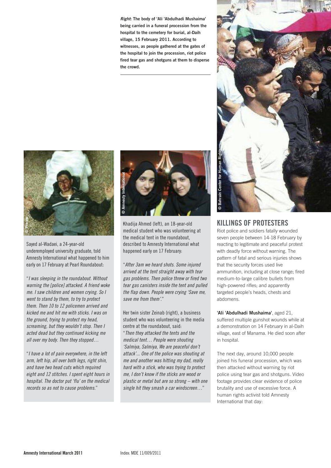**Right: The body of 'Ali 'Abdulhadi Mushaima' being carried in a funeral procession from the hospital to the cemetery for burial, al-Daih village, 15 February 2011. According to witnesses, as people gathered at the gates of the hospital to join the procession, riot police fired tear gas and shotguns at them to disperse the crowd.**



sayed al-wadaei, a 24-year-old underemployed university graduate, told amnesty international what happened to him early on 17 February at Pearl Roundabout:

"I was sleeping in the roundabout. Without warning the [police] attacked. A friend woke me. I saw children and women crying. So I went to stand by them, to try to protect them. Then 10 to 12 policemen arrived and kicked me and hit me with sticks. I was on the ground, trying to protect my head, screaming, but they wouldn't stop. Then I acted dead but they continued kicking me all over my body. Then they stopped…

"I have a lot of pain everywhere, in the left arm, left hip, all over both legs, right shin, and have two head cuts which required eight and 12 stitches. I spent eight hours in hospital. The doctor put 'flu' on the medical records so as not to cause problems."



Khadija ahmed (left), an 18-year-old medical student who was volunteering at the medical tent in the roundabout, described to Amnesty International what happened early on 17 February:

"After 3am we heard shots. Some injured arrived at the tent straight away with tear gas problems. Then police threw or fired two tear gas canisters inside the tent and pulled the flap down. People were crying 'Save me, save me from them'."

her twin sister Zeinab (right), a business student who was volunteering in the media centre at the roundabout, said: "Then they attacked the tents and the medical tent… People were shouting 'Salmiya, Salmiya, We are peaceful don't attack'... One of the police was shouting at me and another was hitting my dad, really hard with a stick, who was trying to protect me, I don't know if the sticks are wood or plastic or metal but are so strong – with one single hit they smash a car windscreen…"



#### **killings of protesters**

Riot police and soldiers fatally wounded seven people between 14-18 February by reacting to legitimate and peaceful protest with deadly force without warning. The pattern of fatal and serious injuries shows that the security forces used live ammunition, including at close range; fired medium-to-large calibre bullets from high-powered rifles; and apparently targeted people's heads, chests and abdomens.

**'Ali 'Abdulhadi Mushaima'**, aged 21, suffered multiple gunshot wounds while at a demonstration on 14 February in al-Daih village, east of Manama. He died soon after in hospital.

The next day, around 10,000 people joined his funeral procession, which was then attacked without warning by riot police using tear gas and shotguns. Video footage provides clear evidence of police brutality and use of excessive force. A human rights activist told Amnesty International that day: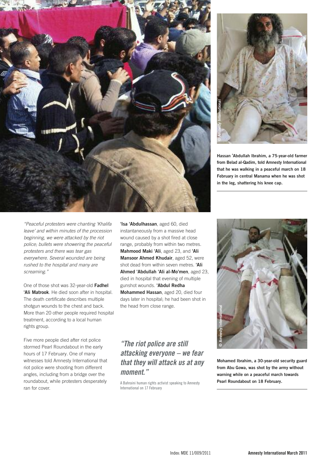



**Hassan 'Abdullah Ibrahim, a 75-year-old farmer from Belad al-Qadim, told Amnesty International that he was walking in a peaceful march on 18 February in central Manama when he was shot in the leg, shattering his knee cap.**

"Peaceful protesters were chanting 'Khalifa leave' and within minutes of the procession beginning, we were attacked by the riot police; bullets were showering the peaceful protesters and there was tear gas everywhere. Several wounded are being rushed to the hospital and many are screaming."

One of those shot was 32-year-old **Fadhel 'Ali Matrook**. He died soon after in hospital. The death certificate describes multiple shotgun wounds to the chest and back. More than 20 other people required hospital treatment, according to a local human rights group.

Five more people died after riot police stormed Pearl Roundabout in the early hours of 17 February. One of many witnesses told Amnesty International that riot police were shooting from different angles, including from a bridge over the roundabout, while protesters desperately ran for cover.

**'Isa 'Abdulhassan**, aged 60, died instantaneously from a massive head wound caused by a shot fired at close range, probably from within two metres. **Mahmood Maki 'Ali**, aged 23, and **'Ali Mansoor Ahmed Khudair**, aged 52, were shot dead from within seven metres. **'Ali Ahmed 'Abdullah 'Ali al-Mo'men**, aged 23, died in hospital that evening of multiple gunshot wounds. **'Abdul Redha Mohammed Hassan**, aged 20, died four days later in hospital; he had been shot in the head from close range.

## **"The riot police are still attacking everyone – we fear that they will attack us at any moment."**

A Bahraini human rights activist speaking to Amnesty international on 17 February



**Mohamed Ibrahim, a 30-year-old security guard from Abu Gowa, was shot by the army without warning while on a peaceful march towards Pearl Roundabout on 18 February.**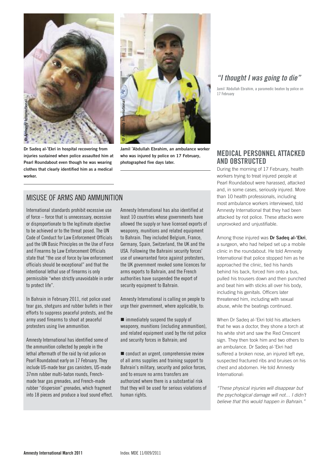

**Dr Sadeq al-'Ekri in hospital recovering from injuries sustained when police assaulted him at Pearl Roundabout even though he was wearing clothes that clearly identified him as a medical worker.**



**Jamil 'Abdullah Ebrahim, an ambulance worker who was injured by police on 17 February, photographed five days later.**

### MisUse oF arMs and aMMUnition

international standards prohibit excessive use of force – force that is unnecessary, excessive or disproportionate to the legitimate objective to be achieved or to the threat posed. The UN code of conduct for law enforcement officials and the UN Basic Principles on the Use of Force and Firearms by law enforcement officials state that "the use of force by law enforcement officials should be exceptional" and that the intentional lethal use of firearms is only permissible "when strictly unavoidable in order to protect life".

in Bahrain in February 2011, riot police used tear gas, shotguns and rubber bullets in their efforts to suppress peaceful protests, and the army used firearms to shoot at peaceful protesters using live ammunition.

amnesty international has identified some of the ammunition collected by people in the lethal aftermath of the raid by riot police on Pearl Roundabout early on 17 February. They include Us-made tear gas canisters, Us-made 37mm rubber multi-baton rounds, Frenchmade tear gas grenades, and French-made rubber "dispersion" grenades, which fragment into 18 pieces and produce a loud sound effect. amnesty international has also identified at least 10 countries whose governments have allowed the supply or have licensed exports of weaponry, munitions and related equipment to Bahrain. They included Belgium, France, germany, spain, switzerland, the UK and the USA. Following the Bahraini security forces' use of unwarranted force against protesters, the UK government revoked some licences for arms exports to Bahrain, and the French authorities have suspended the export of security equipment to Bahrain.

amnesty international is calling on people to urge their government, where applicable, to:

 $\blacksquare$  immediately suspend the supply of weaponry, munitions (including ammunition), and related equipment used by the riot police and security forces in Bahrain; and

conduct an urgent, comprehensive review of all arms supplies and training support to Bahrain's military, security and police forces, and to ensure no arms transfers are authorized where there is a substantial risk that they will be used for serious violations of human rights.

#### **"I thought I was going to die"**

Jamil 'Abdullah Ebrahim, a paramedic beaten by police on 17 February

#### **MedicAl personnel AttAcked And obstructed**

During the morning of 17 February, health workers trying to treat injured people at Pearl Roundabout were harassed, attacked and, in some cases, seriously injured. More than 10 health professionals, including most ambulance workers interviewed, told Amnesty International that they had been attacked by riot police. These attacks were unprovoked and unjustifiable.

Among those injured was **Dr Sadeq al-'Ekri**, a surgeon, who had helped set up a mobile clinic in the roundabout. He told Amnesty International that police stopped him as he approached the clinic, tied his hands behind his back, forced him onto a bus, pulled his trousers down and then punched and beat him with sticks all over his body, including his genitals. Officers later threatened him, including with sexual abuse, while the beatings continued.

When Dr Sadeq al-'Ekri told his attackers that he was a doctor, they shone a torch at his white shirt and saw the Red Crescent sign. They then took him and two others to an ambulance. Dr Sadeq al-'Ekri had suffered a broken nose, an injured left eye, suspected fractured ribs and bruises on his chest and abdomen. He told Amnesty International:

"These physical injuries will disappear but the psychological damage will not… I didn't believe that this would happen in Bahrain."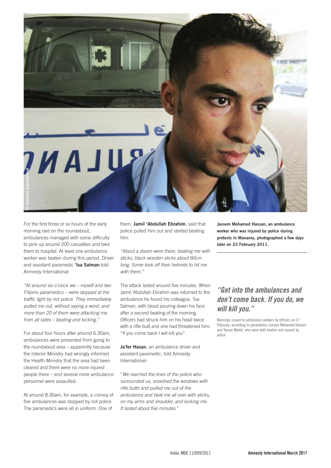

For the first three or so hours of the early morning raid on the roundabout, ambulances managed with some difficulty to pick up around 200 casualties and take them to hospital. At least one ambulance worker was beaten during this period. Driver and assistant paramedic **'Isa Salman** told Amnesty International:

"At around six o'clock we – myself and two Filipino paramedics – were stopped at the traffic light by riot police. They immediately pulled me out, without saying a word, and more than 20 of them were attacking me from all sides – beating and kicking."

For about four hours after around 6.30am, ambulances were prevented from going to the roundabout area – apparently because the Interior Ministry had wrongly informed the Health Ministry that the area had been cleared and there were no more injured people there – and several more ambulance personnel were assaulted.

At around 8.30am, for example, a convoy of five ambulances was stopped by riot police. The paramedics were all in uniform. One of

them, **Jamil 'Abdullah Ebrahim**, said that police pulled him out and started beating him.

"About a dozen were there, beating me with sticks, black wooden sticks about 60cm long. Some took off their helmets to hit me with them."

The attack lasted around five minutes. When Jamil 'Abdullah Ebrahim was returned to the ambulance he found his colleague, 'Isa Salman, with blood pouring down his face after a second beating of the morning. Officers had struck him on his head twice with a rifle butt and one had threatened him-"If you come back I will kill you".

**Ja'fer Hasan**, an ambulance driver and assistant paramedic, told Amnesty International:

"We reached the lines of the police who surrounded us, smashed the windows with rifle butts and pulled me out of the ambulance and beat me all over with sticks, on my arms and shoulder, and kicking me. It lasted about five minutes."

**Jassem Mohamed Hassan, an ambulance worker who was injured by police during protests in Manama, photographed a few days later on 23 February 2011.**

# **"Get into the ambulances and don't come back. If you do, we will kill you."**

warnings issued to ambulance workers by officers on 17 February, according to paramedics Jassem Mohamed hassan and Yasser Mahdi, who were both beaten and injured by police